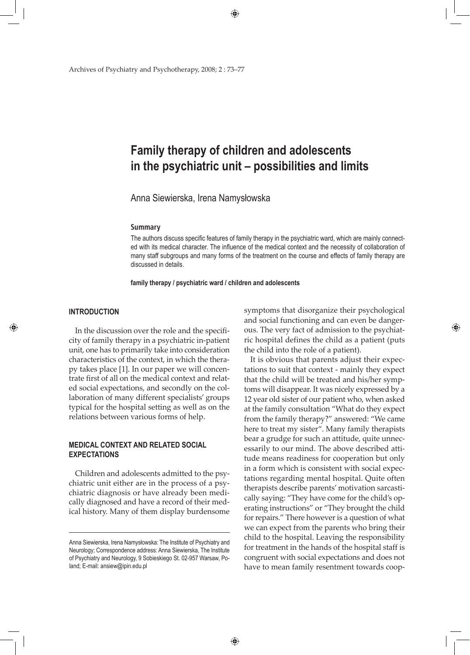Archives of Psychiatry and Psychotherapy, 2008; 2 : 73–77

# **Family therapy of children and adolescents in the psychiatric unit – possibilities and limits**

⊕

Anna Siewierska, Irena Namysłowska

#### **Summary**

The authors discuss specific features of family therapy in the psychiatric ward, which are mainly connected with its medical character. The influence of the medical context and the necessity of collaboration of many staff subgroups and many forms of the treatment on the course and effects of family therapy are discussed in details.

**family therapy / psychiatric ward / children and adolescents**

## **INTRODUCTION**

◈

In the discussion over the role and the specificity of family therapy in a psychiatric in-patient unit, one has to primarily take into consideration characteristics of the context, in which the therapy takes place [1]. In our paper we will concentrate first of all on the medical context and related social expectations, and secondly on the collaboration of many different specialists' groups typical for the hospital setting as well as on the relations between various forms of help.

# **MEDICAl CONTEXT AND RELATED SOCIAL EXPECTATIONS**

Children and adolescents admitted to the psychiatric unit either are in the process of a psychiatric diagnosis or have already been medically diagnosed and have a record of their medical history. Many of them display burdensome symptoms that disorganize their psychological and social functioning and can even be dangerous. The very fact of admission to the psychiatric hospital defines the child as a patient (puts the child into the role of a patient).

◈

It is obvious that parents adjust their expectations to suit that context - mainly they expect that the child will be treated and his/her symptoms will disappear. It was nicely expressed by a 12 year old sister of our patient who, when asked at the family consultation "What do they expect from the family therapy?" answered: "We came here to treat my sister". Many family therapists bear a grudge for such an attitude, quite unnecessarily to our mind. The above described attitude means readiness for cooperation but only in a form which is consistent with social expectations regarding mental hospital. Quite often therapists describe parents' motivation sarcastically saying: "They have come for the child's operating instructions" or "They brought the child for repairs." There however is a question of what we can expect from the parents who bring their child to the hospital. Leaving the responsibility for treatment in the hands of the hospital staff is congruent with social expectations and does not have to mean family resentment towards coop-

Anna Siewierska, Irena Namysłowska: The Institute of Psychiatry and Neurology; Correspondence address: Anna Siewierska, The Institute of Psychiatry and Neurology, 9 Sobieskiego St. 02-957 Warsaw, Poland; E-mail: ansiew@ipin.edu.pl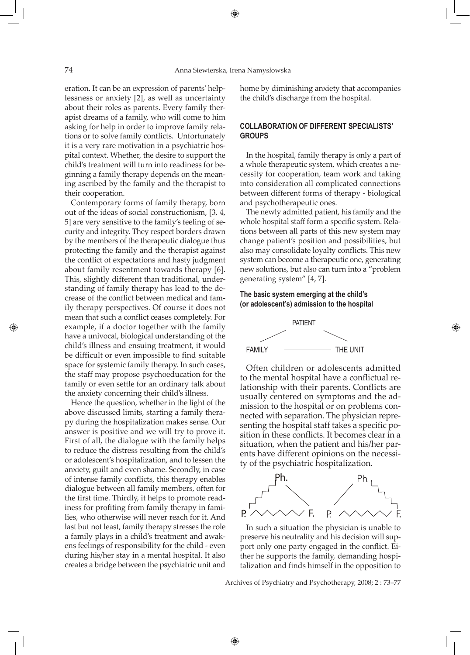⊕

eration. It can be an expression of parents' helplessness or anxiety [2], as well as uncertainty about their roles as parents. Every family therapist dreams of a family, who will come to him asking for help in order to improve family relations or to solve family conflicts. Unfortunately it is a very rare motivation in a psychiatric hospital context. Whether, the desire to support the child's treatment will turn into readiness for beginning a family therapy depends on the meaning ascribed by the family and the therapist to their cooperation.

Contemporary forms of family therapy, born out of the ideas of social constructionism, [3, 4, 5] are very sensitive to the family's feeling of security and integrity. They respect borders drawn by the members of the therapeutic dialogue thus protecting the family and the therapist against the conflict of expectations and hasty judgment about family resentment towards therapy [6]. This, slightly different than traditional, understanding of family therapy has lead to the decrease of the conflict between medical and family therapy perspectives. Of course it does not mean that such a conflict ceases completely. For example, if a doctor together with the family have a univocal, biological understanding of the child's illness and ensuing treatment, it would be difficult or even impossible to find suitable space for systemic family therapy. In such cases, the staff may propose psychoeducation for the family or even settle for an ordinary talk about the anxiety concerning their child's illness.

Hence the question, whether in the light of the above discussed limits, starting a family therapy during the hospitalization makes sense. Our answer is positive and we will try to prove it. First of all, the dialogue with the family helps to reduce the distress resulting from the child's or adolescent's hospitalization, and to lessen the anxiety, guilt and even shame. Secondly, in case of intense family conflicts, this therapy enables dialogue between all family members, often for the first time. Thirdly, it helps to promote readiness for profiting from family therapy in families, who otherwise will never reach for it. And last but not least, family therapy stresses the role a family plays in a child's treatment and awakens feelings of responsibility for the child - even during his/her stay in a mental hospital. It also creates a bridge between the psychiatric unit and home by diminishing anxiety that accompanies the child's discharge from the hospital.

# **COLLABORATION OF DIFFERENT SPECIALISTS' GROUPS**

In the hospital, family therapy is only a part of a whole therapeutic system, which creates a necessity for cooperation, team work and taking into consideration all complicated connections between different forms of therapy - biological and psychotherapeutic ones.

The newly admitted patient, his family and the whole hospital staff form a specific system. Relations between all parts of this new system may change patient's position and possibilities, but also may consolidate loyalty conflicts. This new system can become a therapeutic one, generating new solutions, but also can turn into a "problem generating system" [4, 7].

◈

# **The basic system emerging at the child's (or adolescent's) admission to the hospital**



Often children or adolescents admitted to the mental hospital have a conflictual relationship with their parents. Conflicts are usually centered on symptoms and the admission to the hospital or on problems connected with separation. The physician representing the hospital staff takes a specific position in these conflicts. It becomes clear in a situation, when the patient and his/her parents have different opinions on the necessity of the psychiatric hospitalization.



In such a situation the physician is unable to preserve his neutrality and his decision will support only one party engaged in the conflict. Either he supports the family, demanding hospitalization and finds himself in the opposition to

Archives of Psychiatry and Psychotherapy, 2008; 2 : 73–77

◈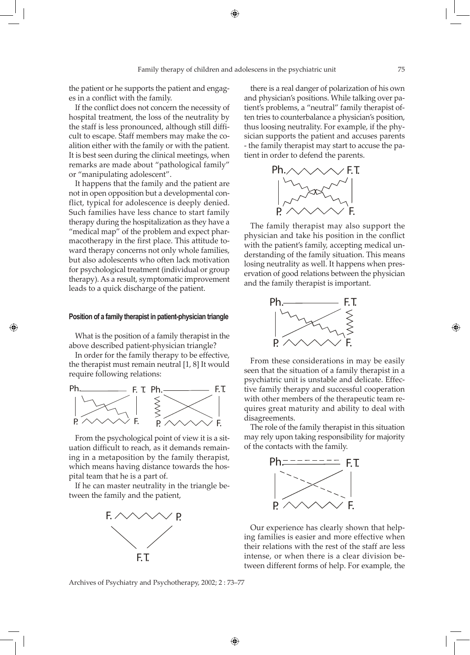⊕

the patient or he supports the patient and engages in a conflict with the family.

If the conflict does not concern the necessity of hospital treatment, the loss of the neutrality by the staff is less pronounced, although still difficult to escape. Staff members may make the coalition either with the family or with the patient. It is best seen during the clinical meetings, when remarks are made about "pathological family" or "manipulating adolescent".

It happens that the family and the patient are not in open opposition but a developmental conflict, typical for adolescence is deeply denied. Such families have less chance to start family therapy during the hospitalization as they have a "medical map" of the problem and expect pharmacotherapy in the first place. This attitude toward therapy concerns not only whole families, but also adolescents who often lack motivation for psychological treatment (individual or group therapy). As a result, symptomatic improvement leads to a quick discharge of the patient.

### **Position of a family therapist in patient-physician triangle**

◈

What is the position of a family therapist in the above described patient-physician triangle?

In order for the family therapy to be effective, the therapist must remain neutral [1, 8] It would require following relations:



From the psychological point of view it is a situation difficult to reach, as it demands remaining in a metaposition by the family therapist, which means having distance towards the hospital team that he is a part of.

If he can master neutrality in the triangle between the family and the patient,



Archives of Psychiatry and Psychotherapy, 2002; 2 : 73–77

↔

there is a real danger of polarization of his own and physician's positions. While talking over patient's problems, a "neutral" family therapist often tries to counterbalance a physician's position, thus loosing neutrality. For example, if the physician supports the patient and accuses parents - the family therapist may start to accuse the patient in order to defend the parents.



The family therapist may also support the physician and take his position in the conflict with the patient's family, accepting medical understanding of the family situation. This means losing neutrality as well. It happens when preservation of good relations between the physician and the family therapist is important.



From these considerations in may be easily seen that the situation of a family therapist in a psychiatric unit is unstable and delicate. Effective family therapy and successful cooperation with other members of the therapeutic team requires great maturity and ability to deal with disagreements.

The role of the family therapist in this situation may rely upon taking responsibility for majority of the contacts with the family.



Our experience has clearly shown that helping families is easier and more effective when their relations with the rest of the staff are less intense, or when there is a clear division between different forms of help. For example, the

◈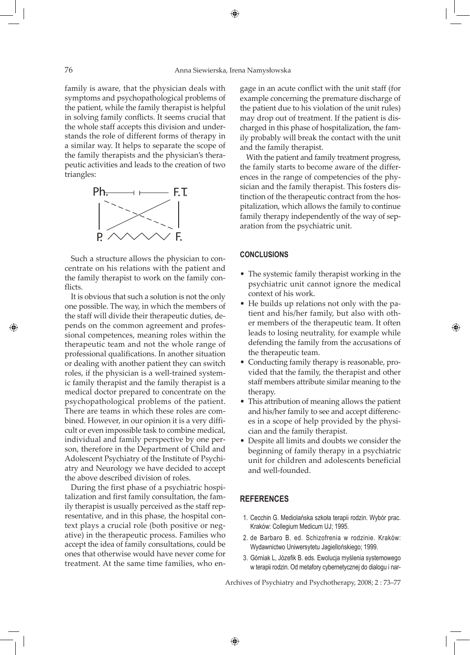⊕

family is aware, that the physician deals with symptoms and psychopathological problems of the patient, while the family therapist is helpful in solving family conflicts. It seems crucial that the whole staff accepts this division and understands the role of different forms of therapy in a similar way. It helps to separate the scope of the family therapists and the physician's therapeutic activities and leads to the creation of two triangles:



Such a structure allows the physician to concentrate on his relations with the patient and the family therapist to work on the family conflicts.

It is obvious that such a solution is not the only one possible. The way, in which the members of the staff will divide their therapeutic duties, depends on the common agreement and professional competences, meaning roles within the therapeutic team and not the whole range of professional qualifications. In another situation or dealing with another patient they can switch roles, if the physician is a well-trained systemic family therapist and the family therapist is a medical doctor prepared to concentrate on the psychopathological problems of the patient. There are teams in which these roles are combined. However, in our opinion it is a very difficult or even impossible task to combine medical, individual and family perspective by one person, therefore in the Department of Child and Adolescent Psychiatry of the Institute of Psychiatry and Neurology we have decided to accept the above described division of roles.

During the first phase of a psychiatric hospitalization and first family consultation, the family therapist is usually perceived as the staff representative, and in this phase, the hospital context plays a crucial role (both positive or negative) in the therapeutic process. Families who accept the idea of family consultations, could be ones that otherwise would have never come for treatment. At the same time families, who engage in an acute conflict with the unit staff (for example concerning the premature discharge of the patient due to his violation of the unit rules) may drop out of treatment. If the patient is discharged in this phase of hospitalization, the family probably will break the contact with the unit and the family therapist.

With the patient and family treatment progress, the family starts to become aware of the differences in the range of competencies of the physician and the family therapist. This fosters distinction of the therapeutic contract from the hospitalization, which allows the family to continue family therapy independently of the way of separation from the psychiatric unit.

## **CONCLUSIONS**

- The systemic family therapist working in the psychiatric unit cannot ignore the medical context of his work.
- He builds up relations not only with the patient and his/her family, but also with other members of the therapeutic team. It often leads to losing neutrality, for example while defending the family from the accusations of the therapeutic team.

◈

- Conducting family therapy is reasonable, provided that the family, the therapist and other staff members attribute similar meaning to the therapy.
- This attribution of meaning allows the patient and his/her family to see and accept differences in a scope of help provided by the physician and the family therapist.
- • Despite all limits and doubts we consider the beginning of family therapy in a psychiatric unit for children and adolescents beneficial and well-founded.

## **REFERENCES**

◈

- 1. Cecchin G. Mediolańska szkoła terapii rodzin. Wybór prac. Kraków: Collegium Medicum UJ; 1995.
- 2. de Barbaro B. ed. Schizofrenia w rodzinie. Kraków: Wydawnictwo Uniwersytetu Jagiellońskiego; 1999.
- 3. Górniak L, Józefik B. eds. Ewolucja myślenia systemowego w terapii rodzin. Od metafory cybernetycznej do dialogu i nar-

Archives of Psychiatry and Psychotherapy, 2008; 2 : 73–77

◈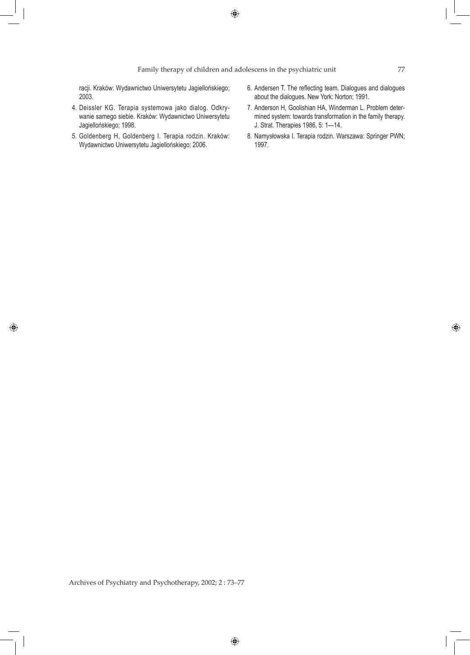$\bigoplus$ 

# Family therapy of children and adolescens in the psychiatric unit 77

racji. Kraków: Wydawnictwo Uniwersytetu Jagiellońskiego; 2003.

- 4. Deissler KG. Terapia systemowa jako dialog. Odkrywanie samego siebie. Kraków: Wydawnictwo Uniwersytetu Jagiellońskiego; 1998.
- 5. Goldenberg H, Goldenberg I. Terapia rodzin. Kraków: Wydawnictwo Uniwersytetu Jagiellońskiego; 2006.

 $\bigcirc$ 

- 6. Andersen T. The reflecting team. Dialogues and dialogues about the dialogues. New York: Norton; 1991.
- 7. Anderson H, Goolishian HA, Winderman L. Problem determined system: towards transformation in the family therapy. J. Strat. Therapies 1986, 5: 1—14.
- 8. Namysłowska I. Terapia rodzin. Warszawa: Springer PWN; 1997.

Archives of Psychiatry and Psychotherapy, 2002; 2 : 73–77

 $\bigoplus$